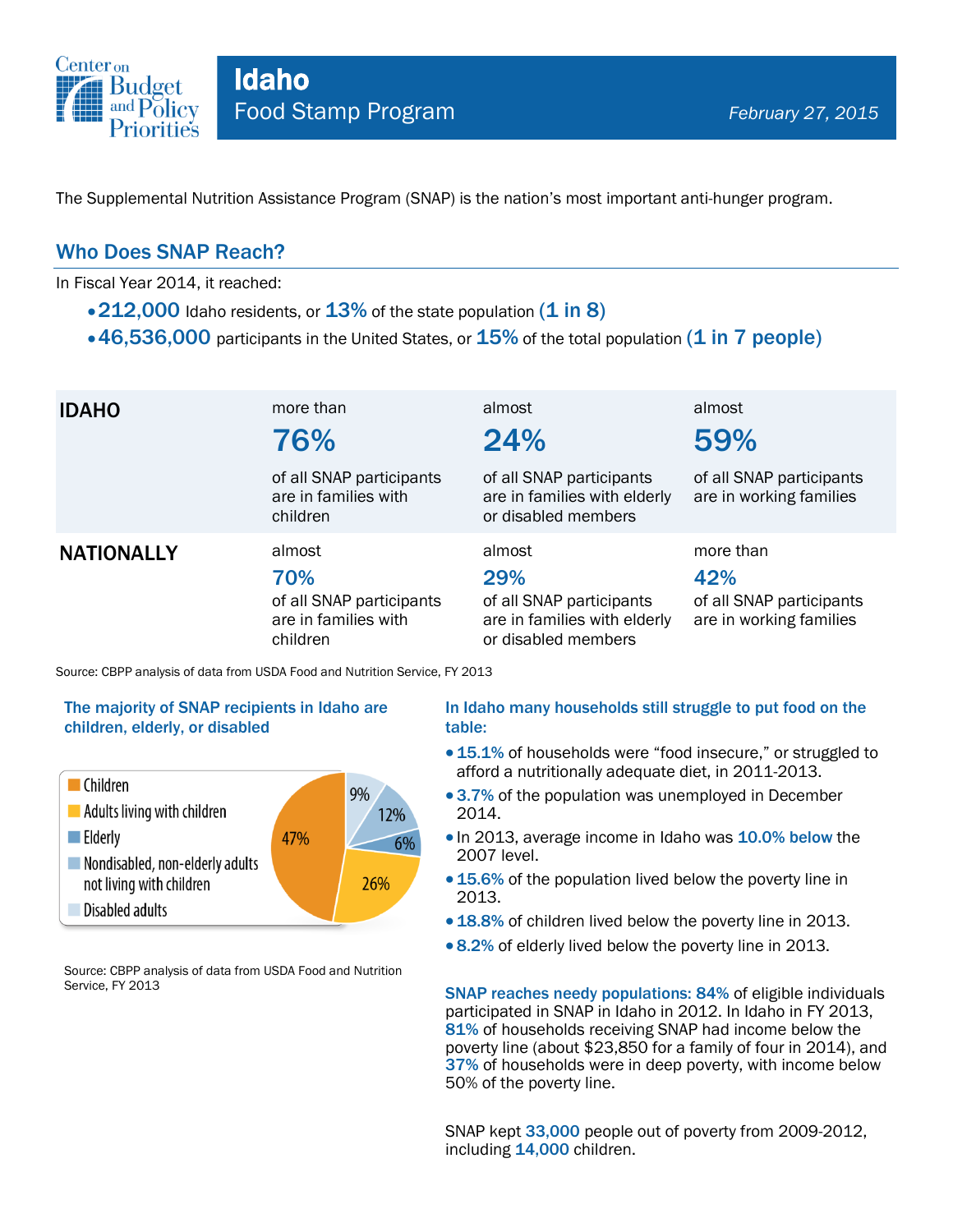

The Supplemental Nutrition Assistance Program (SNAP) is the nation's most important anti-hunger program.

### Who Does SNAP Reach?

In Fiscal Year 2014, it reached:

- $\cdot$  212,000 Idaho residents, or  $13\%$  of the state population (1 in 8)
- $\cdot$  46,536,000 participants in the United States, or  $15\%$  of the total population (1 in 7 people)

| <b>IDAHO</b>      | more than<br>76%                                                              | almost<br>24%                                                                                    | almost<br>59%                                                           |
|-------------------|-------------------------------------------------------------------------------|--------------------------------------------------------------------------------------------------|-------------------------------------------------------------------------|
|                   | of all SNAP participants<br>are in families with<br>children                  | of all SNAP participants<br>are in families with elderly<br>or disabled members                  | of all SNAP participants<br>are in working families                     |
| <b>NATIONALLY</b> | almost<br>70%<br>of all SNAP participants<br>are in families with<br>children | almost<br>29%<br>of all SNAP participants<br>are in families with elderly<br>or disabled members | more than<br>42%<br>of all SNAP participants<br>are in working families |

Source: CBPP analysis of data from USDA Food and Nutrition Service, FY 2013

#### The majority of SNAP recipients in Idaho are children, elderly, or disabled



Source: CBPP analysis of data from USDA Food and Nutrition Service, FY 2013

#### In Idaho many households still struggle to put food on the table:

- 15.1% of households were "food insecure," or struggled to afford a nutritionally adequate diet, in 2011-2013.
- 3.7% of the population was unemployed in December 2014.
- In 2013, average income in Idaho was 10.0% below the 2007 level.
- 15.6% of the population lived below the poverty line in 2013.
- 18.8% of children lived below the poverty line in 2013.
- 8.2% of elderly lived below the poverty line in 2013.

SNAP reaches needy populations: 84% of eligible individuals participated in SNAP in Idaho in 2012. In Idaho in FY 2013, 81% of households receiving SNAP had income below the poverty line (about \$23,850 for a family of four in 2014), and 37% of households were in deep poverty, with income below 50% of the poverty line.

SNAP kept 33,000 people out of poverty from 2009-2012, including 14,000 children.